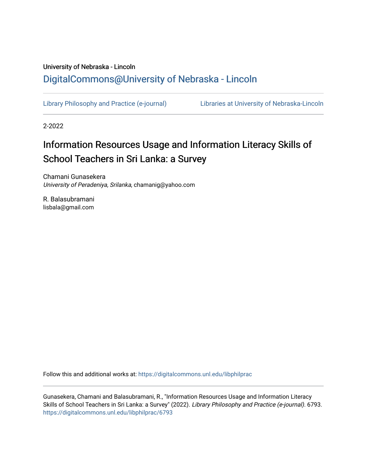# University of Nebraska - Lincoln [DigitalCommons@University of Nebraska - Lincoln](https://digitalcommons.unl.edu/)

[Library Philosophy and Practice \(e-journal\)](https://digitalcommons.unl.edu/libphilprac) [Libraries at University of Nebraska-Lincoln](https://digitalcommons.unl.edu/libraries) 

2-2022

# Information Resources Usage and Information Literacy Skills of School Teachers in Sri Lanka: a Survey

Chamani Gunasekera University of Peradeniya, Srilanka, chamanig@yahoo.com

R. Balasubramani lisbala@gmail.com

Follow this and additional works at: [https://digitalcommons.unl.edu/libphilprac](https://digitalcommons.unl.edu/libphilprac?utm_source=digitalcommons.unl.edu%2Flibphilprac%2F6793&utm_medium=PDF&utm_campaign=PDFCoverPages) 

Gunasekera, Chamani and Balasubramani, R., "Information Resources Usage and Information Literacy Skills of School Teachers in Sri Lanka: a Survey" (2022). Library Philosophy and Practice (e-journal). 6793. [https://digitalcommons.unl.edu/libphilprac/6793](https://digitalcommons.unl.edu/libphilprac/6793?utm_source=digitalcommons.unl.edu%2Flibphilprac%2F6793&utm_medium=PDF&utm_campaign=PDFCoverPages)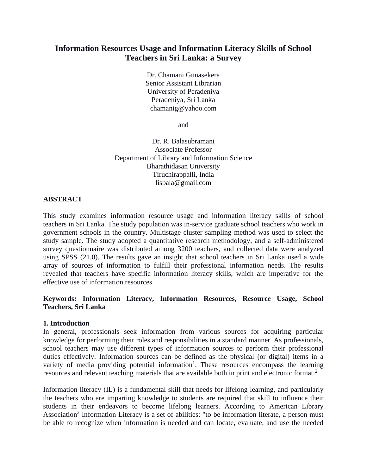# **Information Resources Usage and Information Literacy Skills of School Teachers in Sri Lanka: a Survey**

Dr. Chamani Gunasekera Senior Assistant Librarian University of Peradeniya Peradeniya, Sri Lanka chamanig@yahoo.com

and

Dr. R. Balasubramani Associate Professor Department of Library and Information Science Bharathidasan University Tiruchirappalli, India [lisbala@gmail.com](mailto:lisbala@gmail.com)

# **ABSTRACT**

This study examines information resource usage and information literacy skills of school teachers in Sri Lanka. The study population was in-service graduate school teachers who work in government schools in the country. Multistage cluster sampling method was used to select the study sample. The study adopted a quantitative research methodology, and a self-administered survey questionnaire was distributed among 3200 teachers, and collected data were analyzed using SPSS (21.0). The results gave an insight that school teachers in Sri Lanka used a wide array of sources of information to fulfill their professional information needs. The results revealed that teachers have specific information literacy skills, which are imperative for the effective use of information resources.

# **Keywords: Information Literacy, Information Resources, Resource Usage, School Teachers, Sri Lanka**

# **1. Introduction**

In general, professionals seek information from various sources for acquiring particular knowledge for performing their roles and responsibilities in a standard manner. As professionals, school teachers may use different types of information sources to perform their professional duties effectively. Information sources can be defined as the physical (or digital) items in a variety of media providing potential information<sup>1</sup>. These resources encompass the learning resources and relevant teaching materials that are available both in print and electronic format.<sup>2</sup>

Information literacy (IL) is a fundamental skill that needs for lifelong learning, and particularly the teachers who are imparting knowledge to students are required that skill to influence their students in their endeavors to become lifelong learners. According to American Library Association<sup>3</sup> Information Literacy is a set of abilities: "to be information literate, a person must be able to recognize when information is needed and can locate, evaluate, and use the needed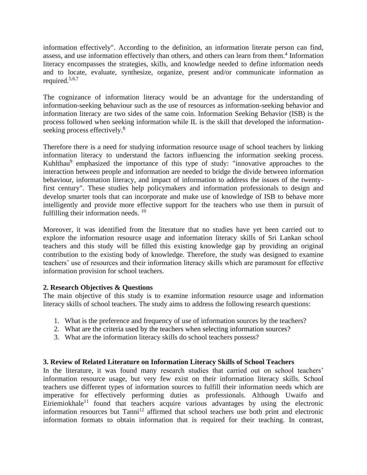information effectively". According to the definition, an information literate person can find, assess, and use information effectively than others, and others can learn from them.<sup>4</sup> Information literacy encompasses the strategies, skills, and knowledge needed to define information needs and to locate, evaluate, synthesize, organize, present and/or communicate information as required.5,6,7

The cognizance of information literacy would be an advantage for the understanding of information-seeking behaviour such as the use of resources as information-seeking behavior and information literacy are two sides of the same coin. Information Seeking Behavior (ISB) is the process followed when seeking information while IL is the skill that developed the informationseeking process effectively.<sup>8</sup>

Therefore there is a need for studying information resource usage of school teachers by linking information literacy to understand the factors influencing the information seeking process. Kuhlthau<sup>9</sup> emphasized the importance of this type of study: "innovative approaches to the interaction between people and information are needed to bridge the divide between information behaviour, information literacy, and impact of information to address the issues of the twentyfirst century". These studies help policymakers and information professionals to design and develop smarter tools that can incorporate and make use of knowledge of ISB to behave more intelligently and provide more effective support for the teachers who use them in pursuit of fulfilling their information needs.<sup>10</sup>

Moreover, it was identified from the literature that no studies have yet been carried out to explore the information resource usage and information literacy skills of Sri Lankan school teachers and this study will be filled this existing knowledge gap by providing an original contribution to the existing body of knowledge. Therefore, the study was designed to examine teachers' use of resources and their information literacy skills which are paramount for effective information provision for school teachers.

# **2. Research Objectives & Questions**

The main objective of this study is to examine information resource usage and information literacy skills of school teachers. The study aims to address the following research questions:

- 1. What is the preference and frequency of use of information sources by the teachers?
- 2. What are the criteria used by the teachers when selecting information sources?
- 3. What are the information literacy skills do school teachers possess?

# **3. Review of Related Literature on Information Literacy Skills of School Teachers**

In the literature, it was found many research studies that carried out on school teachers' information resource usage, but very few exist on their information literacy skills. School teachers use different types of information sources to fulfill their information needs which are imperative for effectively performing duties as professionals. Although Uwaifo and Eiriemiokhale<sup>11</sup> found that teachers acquire various advantages by using the electronic information resources but Tanni<sup>12</sup> affirmed that school teachers use both print and electronic information formats to obtain information that is required for their teaching. In contrast,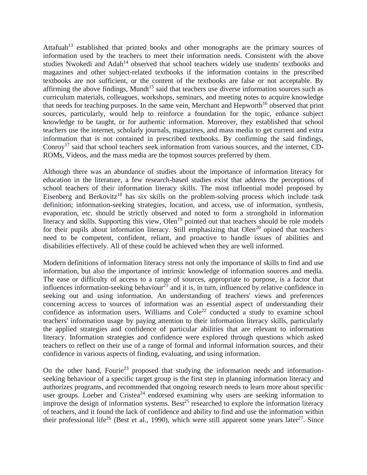Attafuah<sup>13</sup> established that printed books and other monographs are the primary sources of information used by the teachers to meet their information needs. Consistent with the above studies Nwokedi and Adah<sup>14</sup> observed that school teachers widely use students' textbooks and magazines and other subject-related textbooks if the information contains in the prescribed textbooks are not sufficient, or the content of the textbooks are false or not acceptable. By affirming the above findings, Mundt<sup>15</sup> said that teachers use diverse information sources such as curriculum materials, colleagues, workshops, seminars, and meeting notes to acquire knowledge that needs for teaching purposes. In the same vein, Merchant and Hepworth<sup>16</sup> observed that print sources, particularly, would help to reinforce a foundation for the topic, enhance subject knowledge to be taught, or for authentic information. Moreover, they established that school teachers use the internet, scholarly journals, magazines, and mass media to get current and extra information that is not contained in prescribed textbooks. By confirming the said findings, Conroy<sup>17</sup> said that school teachers seek information from various sources, and the internet, CD-ROMs, Videos, and the mass media are the topmost sources preferred by them.

Although there was an abundance of studies about the importance of information literacy for education in the literature, a few research-based studies exist that address the perceptions of school teachers of their information literacy skills. The most influential model proposed by Eisenberg and Berkovitz<sup>18</sup> has six skills on the problem-solving process which include task definition; information-seeking strategies, location, and access, use of information, synthesis, evaporation, etc. should be strictly observed and noted to form a stronghold in information literacy and skills. Supporting this view, Olen<sup>19</sup> pointed out that teachers should be role models for their pupils about information literacy. Still emphasizing that Olen<sup>20</sup> opined that teachers need to be competent, confident, reliant, and proactive to handle issues of abilities and disabilities effectively. All of these could be achieved when they are well informed.

Modern definitions of information literacy stress not only the importance of skills to find and use information, but also the importance of intrinsic knowledge of information sources and media. The ease or difficulty of access to a range of sources, appropriate to purpose, is a factor that influences information-seeking behaviour $^{21}$  and it is, in turn, influenced by relative confidence in seeking out and using information. An understanding of teachers' views and preferences concerning access to sources of information was an essential aspect of understanding their confidence as information users. Williams and  $Cole<sup>22</sup>$  conducted a study to examine school teachers' information usage by paying attention to their information literacy skills, particularly the applied strategies and confidence of particular abilities that are relevant to information literacy. Information strategies and confidence were explored through questions which asked teachers to reflect on their use of a range of formal and informal information sources, and their confidence in various aspects of finding, evaluating, and using information.

On the other hand, Fourie<sup>23</sup> proposed that studying the information needs and informationseeking behaviour of a specific target group is the first step in planning information literacy and authorizes programs, and recommended that ongoing research needs to learn more about specific user groups. Loeber and Cristea<sup>24</sup> endorsed examining why users are seeking information to improve the design of information systems. Best<sup>25</sup> researched to explore the information literacy of teachers, and it found the lack of confidence and ability to find and use the information within their professional life<sup>26</sup> (Best et al., 1990), which were still apparent some years later<sup>27</sup>. Since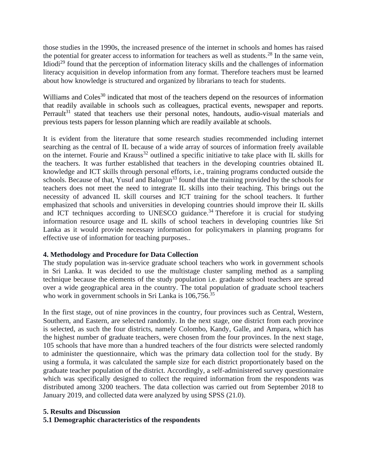those studies in the 1990s, the increased presence of the internet in schools and homes has raised the potential for greater access to information for teachers as well as students.<sup>28</sup> In the same vein, Idiodi<sup>29</sup> found that the perception of information literacy skills and the challenges of information literacy acquisition in develop information from any format. Therefore teachers must be learned about how knowledge is structured and organized by librarians to teach for students.

Williams and Coles<sup>30</sup> indicated that most of the teachers depend on the resources of information that readily available in schools such as colleagues, practical events, newspaper and reports. Perrault<sup>31</sup> stated that teachers use their personal notes, handouts, audio-visual materials and previous tests papers for lesson planning which are readily available at schools.

It is evident from the literature that some research studies recommended including internet searching as the central of IL because of a wide array of sources of information freely available on the internet. Fourie and Krauss<sup>32</sup> outlined a specific initiative to take place with IL skills for the teachers. It was further established that teachers in the developing countries obtained IL knowledge and ICT skills through personal efforts, i.e., training programs conducted outside the schools. Because of that, Yusuf and Balogun<sup>33</sup> found that the training provided by the schools for teachers does not meet the need to integrate IL skills into their teaching. This brings out the necessity of advanced IL skill courses and ICT training for the school teachers. It further emphasized that schools and universities in developing countries should improve their IL skills and ICT techniques according to UNESCO guidance.<sup>34</sup> Therefore it is crucial for studying information resource usage and IL skills of school teachers in developing countries like Sri Lanka as it would provide necessary information for policymakers in planning programs for effective use of information for teaching purposes..

# **4. Methodology and Procedure for Data Collection**

The study population was in-service graduate school teachers who work in government schools in Sri Lanka. It was decided to use the multistage cluster sampling method as a sampling technique because the elements of the study population i.e. graduate school teachers are spread over a wide geographical area in the country. The total population of graduate school teachers who work in government schools in Sri Lanka is 106,756.<sup>35</sup>

In the first stage, out of nine provinces in the country, four provinces such as Central, Western, Southern, and Eastern, are selected randomly. In the next stage, one district from each province is selected, as such the four districts, namely Colombo, Kandy, Galle, and Ampara, which has the highest number of graduate teachers, were chosen from the four provinces. In the next stage, 105 schools that have more than a hundred teachers of the four districts were selected randomly to administer the questionnaire, which was the primary data collection tool for the study. By using a formula, it was calculated the sample size for each district proportionately based on the graduate teacher population of the district. Accordingly, a self-administered survey questionnaire which was specifically designed to collect the required information from the respondents was distributed among 3200 teachers. The data collection was carried out from September 2018 to January 2019, and collected data were analyzed by using SPSS (21.0).

#### **5. Results and Discussion**

#### **5.1 Demographic characteristics of the respondents**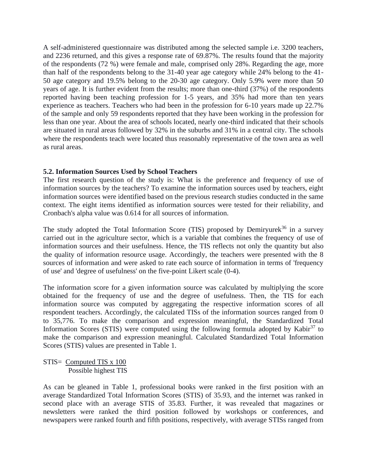A self-administered questionnaire was distributed among the selected sample i.e. 3200 teachers, and 2236 returned, and this gives a response rate of 69.87%. The results found that the majority of the respondents (72 %) were female and male, comprised only 28%. Regarding the age, more than half of the respondents belong to the 31-40 year age category while 24% belong to the 41- 50 age category and 19.5% belong to the 20-30 age category. Only 5.9% were more than 50 years of age. It is further evident from the results; more than one-third (37%) of the respondents reported having been teaching profession for 1-5 years, and 35% had more than ten years experience as teachers. Teachers who had been in the profession for 6-10 years made up 22.7% of the sample and only 59 respondents reported that they have been working in the profession for less than one year. About the area of schools located, nearly one-third indicated that their schools are situated in rural areas followed by 32% in the suburbs and 31% in a central city. The schools where the respondents teach were located thus reasonably representative of the town area as well as rural areas.

#### **5.2. Information Sources Used by School Teachers**

The first research question of the study is: What is the preference and frequency of use of information sources by the teachers? To examine the information sources used by teachers, eight information sources were identified based on the previous research studies conducted in the same context. The eight items identified as information sources were tested for their reliability, and Cronbach's alpha value was 0.614 for all sources of information.

The study adopted the Total Information Score (TIS) proposed by Demiryurek<sup>36</sup> in a survey carried out in the agriculture sector, which is a variable that combines the frequency of use of information sources and their usefulness. Hence, the TIS reflects not only the quantity but also the quality of information resource usage. Accordingly, the teachers were presented with the 8 sources of information and were asked to rate each source of information in terms of 'frequency of use' and 'degree of usefulness' on the five-point Likert scale (0-4).

The information score for a given information source was calculated by multiplying the score obtained for the frequency of use and the degree of usefulness. Then, the TIS for each information source was computed by aggregating the respective information scores of all respondent teachers. Accordingly, the calculated TISs of the information sources ranged from 0 to 35,776. To make the comparison and expression meaningful, the Standardized Total Information Scores (STIS) were computed using the following formula adopted by Kabir<sup>37</sup> to make the comparison and expression meaningful. Calculated Standardized Total Information Scores (STIS) values are presented in Table 1.

STIS= Computed TIS x 100 Possible highest TIS

As can be gleaned in Table 1, professional books were ranked in the first position with an average Standardized Total Information Scores (STIS) of 35.93, and the internet was ranked in second place with an average STIS of 35.83. Further, it was revealed that magazines or newsletters were ranked the third position followed by workshops or conferences, and newspapers were ranked fourth and fifth positions, respectively, with average STISs ranged from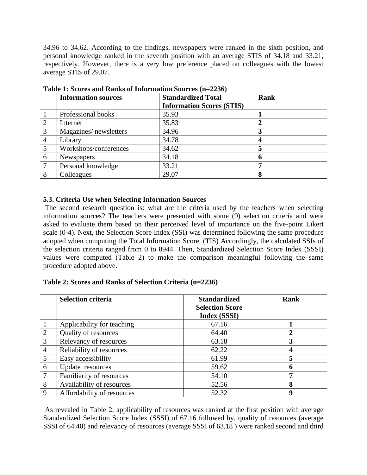34.96 to 34.62. According to the findings, newspapers were ranked in the sixth position, and personal knowledge ranked in the seventh position with an average STIS of 34.18 and 33.21, respectively. However, there is a very low preference placed on colleagues with the lowest average STIS of 29.07.

|   | <b>Information sources</b> | <b>Standardized Total</b>        | Rank |
|---|----------------------------|----------------------------------|------|
|   |                            | <b>Information Scores (STIS)</b> |      |
|   | Professional books         | 35.93                            |      |
|   | Internet                   | 35.83                            |      |
| 3 | Magazines/newsletters      | 34.96                            |      |
|   | Library                    | 34.78                            |      |
| 5 | Workshops/conferences      | 34.62                            |      |
| 6 | Newspapers                 | 34.18                            |      |
|   | Personal knowledge         | 33.21                            |      |
| 8 | Colleagues                 | 29.07                            | 8    |

**Table 1: Scores and Ranks of Information Sources (n=2236)**

#### **5.3. Criteria Use when Selecting Information Sources**

The second research question is: what are the criteria used by the teachers when selecting information sources? The teachers were presented with some (9) selection criteria and were asked to evaluate them based on their perceived level of importance on the five-point Likert scale (0-4). Next, the Selection Score Index (SSI) was determined following the same procedure adopted when computing the Total Information Score. (TIS) Accordingly, the calculated SSIs of the selection criteria ranged from 0 to 8944. Then, Standardized Selection Score Index (SSSI) values were computed (Table 2) to make the comparison meaningful following the same procedure adopted above.

#### **Table 2: Scores and Ranks of Selection Criteria (n=2236)**

|                | <b>Selection criteria</b>  | <b>Standardized</b><br><b>Selection Score</b><br>Index (SSSI) | Rank |
|----------------|----------------------------|---------------------------------------------------------------|------|
|                | Applicability for teaching | 67.16                                                         |      |
| $\overline{2}$ | Quality of resources       | 64.40                                                         |      |
| 3              | Relevancy of resources     | 63.18                                                         |      |
| $\overline{4}$ | Reliability of resources   | 62.22                                                         |      |
| 5              | Easy accessibility         | 61.99                                                         |      |
| 6              | Update resources           | 59.62                                                         |      |
| $\overline{7}$ | Familiarity of resources   | 54.10                                                         |      |
| 8              | Availability of resources  | 52.56                                                         | 8    |
| 9              | Affordability of resources | 52.32                                                         |      |

As revealed in Table 2, applicability of resources was ranked at the first position with average Standardized Selection Score Index (SSSI) of 67.16 followed by, quality of resources (average SSSI of 64.40) and relevancy of resources (average SSSI of 63.18 ) were ranked second and third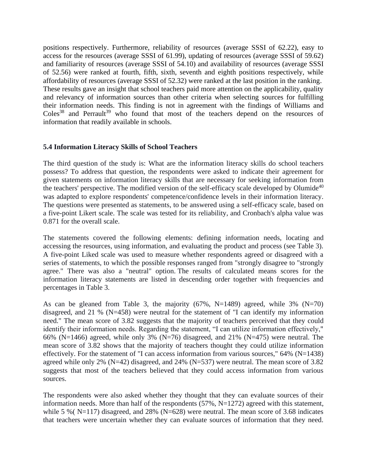positions respectively. Furthermore, reliability of resources (average SSSI of 62.22), easy to access for the resources (average SSSI of 61.99), updating of resources (average SSSI of 59.62) and familiarity of resources (average SSSI of 54.10) and availability of resources (average SSSI of 52.56) were ranked at fourth, fifth, sixth, seventh and eighth positions respectively, while affordability of resources (average SSSI of 52.32) were ranked at the last position in the ranking. These results gave an insight that school teachers paid more attention on the applicability, quality and relevancy of information sources than other criteria when selecting sources for fulfilling their information needs. This finding is not in agreement with the findings of Williams and  $\text{Coles}^{38}$  and Perrault<sup>39</sup> who found that most of the teachers depend on the resources of information that readily available in schools.

#### **5.4 Information Literacy Skills of School Teachers**

The third question of the study is: What are the information literacy skills do school teachers possess? To address that question, the respondents were asked to indicate their agreement for given statements on information literacy skills that are necessary for seeking information from the teachers' perspective. The modified version of the self-efficacy scale developed by Olumide<sup>40</sup> was adapted to explore respondents' competence/confidence levels in their information literacy. The questions were presented as statements, to be answered using a self-efficacy scale, based on a five-point Likert scale. The scale was tested for its reliability, and Cronbach's alpha value was 0.871 for the overall scale.

The statements covered the following elements: defining information needs, locating and accessing the resources, using information, and evaluating the product and process (see Table 3). A five-point Liked scale was used to measure whether respondents agreed or disagreed with a series of statements, to which the possible responses ranged from "strongly disagree to "strongly agree." There was also a "neutral" option. The results of calculated means scores for the information literacy statements are listed in descending order together with frequencies and percentages in Table 3.

As can be gleaned from Table 3, the majority  $(67\%, N=1489)$  agreed, while  $3\%$   $(N=70)$ disagreed, and 21 % (N=458) were neutral for the statement of "I can identify my information need." The mean score of 3.82 suggests that the majority of teachers perceived that they could identify their information needs. Regarding the statement, "I can utilize information effectively," 66% (N=1466) agreed, while only 3% (N=76) disagreed, and 21% (N=475) were neutral. The mean score of 3.82 shows that the majority of teachers thought they could utilize information effectively. For the statement of "I can access information from various sources," 64% (N=1438) agreed while only 2% (N=42) disagreed, and 24% (N=537) were neutral. The mean score of 3.82 suggests that most of the teachers believed that they could access information from various sources.

The respondents were also asked whether they thought that they can evaluate sources of their information needs. More than half of the respondents  $(57\%, N=1272)$  agreed with this statement, while 5 % ( $N=117$ ) disagreed, and 28% ( $N=628$ ) were neutral. The mean score of 3.68 indicates that teachers were uncertain whether they can evaluate sources of information that they need.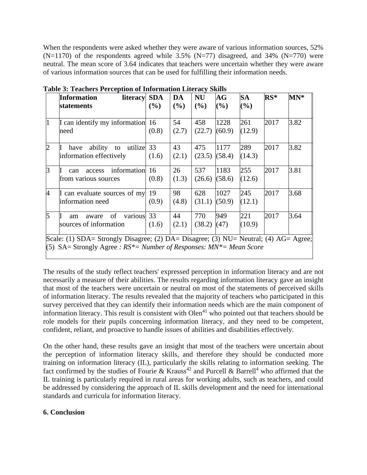When the respondents were asked whether they were aware of various information sources, 52%  $(N=1170)$  of the respondents agreed while 3.5%  $(N=77)$  disagreed, and 34%  $(N=770)$  were neutral. The mean score of 3.64 indicates that teachers were uncertain whether they were aware of various information sources that can be used for fulfilling their information needs.

|                | <b>Information</b><br>literacy<br>statements                                                                                                                                                       | <b>SDA</b><br>$($ %) | DA<br>$($ %) | <b>NU</b><br>$($ %) | $\mathbf{A}\mathbf{G}$<br>(%) | <b>SA</b><br>(%) | $RS^*$ | $MN^*$ |
|----------------|----------------------------------------------------------------------------------------------------------------------------------------------------------------------------------------------------|----------------------|--------------|---------------------|-------------------------------|------------------|--------|--------|
| l1             | I can identify my information<br>need                                                                                                                                                              | -16<br>(0.8)         | 54<br>(2.7)  | 458<br>(22.7)       | 1228<br>(60.9)                | 261<br>(12.9)    | 2017   | 3.82   |
| $\overline{2}$ | ability to utilize 33<br>have<br>information effectively                                                                                                                                           | (1.6)                | 43<br>(2.1)  | 475<br>(23.5)       | 1177<br>(58.4)                | 289<br>(14.3)    | 2017   | 3.82   |
| $\overline{3}$ | information<br>access<br>can<br>from various sources                                                                                                                                               | 16<br>(0.8)          | 26<br>(1.3)  | 537<br>(26.6)       | 1183<br>(58.6)                | 255<br>(12.6)    | 2017   | 3.81   |
| $\overline{4}$ | I can evaluate sources of my<br>information need                                                                                                                                                   | 19<br>(0.9)          | 98<br>(4.8)  | 628<br>(31.1)       | 1027<br>(50.9)                | 245<br>(12.1)    | 2017   | 3.68   |
| 5              | various<br>of<br>aware<br>am<br>sources of information<br>$\text{Scale}$ : (1) $\text{SDA}$ – Strongly Disagree: (2) $\text{DA}$ – Disagree: (3) NH-Neutral: (4) $\Delta G$ – $\Delta \text{area}$ | 33<br>(1.6)          | 44<br>(2.1)  | 770<br>(38.2)       | 949<br>(47)                   | 221<br>(10.9)    | 2017   | 3.64   |

**Table 3: Teachers Perception of Information Literacy Skills**

 $(1)$  SDA= Strongly Disagree; (2) DA= Disagree; (3) NU= Neutral; (4) AG= (5) SA= Strongly Agree *: RS\*= Number of Responses: MN\*= Mean Score*

The results of the study reflect teachers' expressed perception in information literacy and are not necessarily a measure of their abilities. The results regarding information literacy gave an insight that most of the teachers were uncertain or neutral on most of the statements of perceived skills of information literacy. The results revealed that the majority of teachers who participated in this survey perceived that they can identify their information needs which are the main component of information literacy. This result is consistent with  $Olen<sup>41</sup>$  who pointed out that teachers should be role models for their pupils concerning information literacy, and they need to be competent, confident, reliant, and proactive to handle issues of abilities and disabilities effectively.

On the other hand, these results gave an insight that most of the teachers were uncertain about the perception of information literacy skills, and therefore they should be conducted more training on information literacy (IL), particularly the skills relating to information seeking. The fact confirmed by the studies of Fourie & Krauss<sup>42</sup> and Purcell & Barrell<sup>4</sup> who affirmed that the IL training is particularly required in rural areas for working adults, such as teachers, and could be addressed by considering the approach of IL skills development and the need for international standards and curricula for information literacy.

# **6. Conclusion**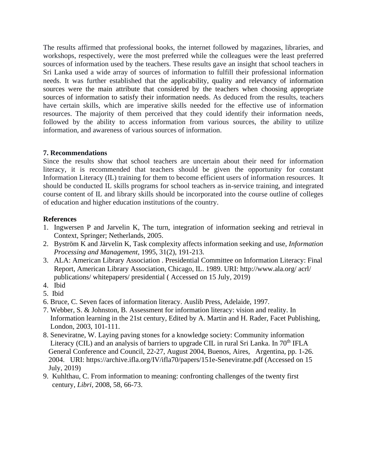The results affirmed that professional books, the internet followed by magazines, libraries, and workshops, respectively, were the most preferred while the colleagues were the least preferred sources of information used by the teachers. These results gave an insight that school teachers in Sri Lanka used a wide array of sources of information to fulfill their professional information needs. It was further established that the applicability, quality and relevancy of information sources were the main attribute that considered by the teachers when choosing appropriate sources of information to satisfy their information needs. As deduced from the results, teachers have certain skills, which are imperative skills needed for the effective use of information resources. The majority of them perceived that they could identify their information needs, followed by the ability to access information from various sources, the ability to utilize information, and awareness of various sources of information.

#### **7. Recommendations**

Since the results show that school teachers are uncertain about their need for information literacy, it is recommended that teachers should be given the opportunity for constant Information Literacy (IL) training for them to become efficient users of information resources. It should be conducted IL skills programs for school teachers as in-service training, and integrated course content of IL and library skills should be incorporated into the course outline of colleges of education and higher education institutions of the country.

#### **References**

- 1. Ingwersen P and Jarvelin K, The turn, integration of information seeking and retrieval in Context, Springer; Netherlands, 2005.
- 2. Byström K and Järvelin K, Task complexity affects information seeking and use, *Information Processing and Management*, 1995, 31(2), 191-213.
- 3. ALA: American Library Association . Presidential Committee on Information Literacy: Final Report, American Library Association, Chicago, IL. 1989. URI: http://www.ala.org/ acrl/ publications/ whitepapers/ presidential ( Accessed on 15 July, 2019)
- 4. Ibid
- 5. Ibid
- 6. Bruce, C. Seven faces of information literacy. Auslib Press, Adelaide, 1997.
- 7. Webber, S. & Johnston, B. Assessment for information literacy: vision and reality. In Information learning in the 21st century, Edited by A. Martin and H. Rader, Facet Publishing, London, 2003, 101-111.
- 8. Seneviratne, W. Laying paving stones for a knowledge society: Community information Literacy (CIL) and an analysis of barriers to upgrade CIL in rural Sri Lanka. In  $70<sup>th</sup>$  IFLA General Conference and Council, 22-27, August 2004, Buenos, Aires, Argentina, pp. 1-26. 2004. URI: https://archive.ifla.org/IV/ifla70/papers/151e-Seneviratne.pdf (Accessed on 15 July, 2019)
- 9. Kuhlthau, C. From information to meaning: confronting challenges of the twenty first century, *Libri,* 2008, 58, 66-73.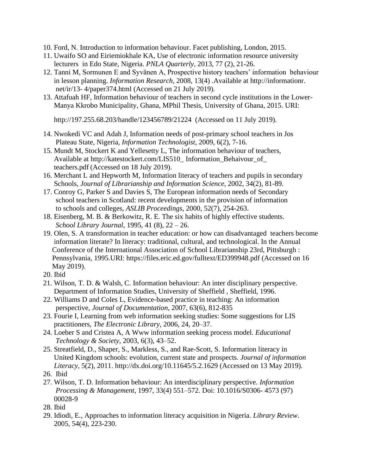- 10. Ford, N. Introduction to information behaviour. Facet publishing, London, 2015.
- 11. Uwaifo SO and Eiriemiokhale KA, Use of electronic information resource university lecturers in Edo State, Nigeria. *PNLA Quarterly*, 2013, 77 (2), 21-26.
- 12. Tanni M, Sormunen E and Syvänen A, Prospective history teachers' information behaviour in lesson planning. *Information Research*, 2008, 13(4) .Available at [http://informationr.](http://informationr/) net/ir/13- 4/paper374.html (Accessed on 21 July 2019).
- 13. Attafuah HF, Information behaviour of teachers in second cycle institutions in the Lower- Manya Kkrobo Municipality, Ghana, MPhil Thesis, University of Ghana, 2015. URI:

<http://197.255.68.203/handle/123456789/21224>(Accessed on 11 July 2019).

- 14. Nwokedi VC and Adah J, Information needs of post-primary school teachers in Jos Plateau State, Nigeria, *Information Technologist,* 2009, 6(2), 7-16.
- 15. Mundt M, Stockert K and Yellesetty L, The information behaviour of teachers, Available at http://katestockert.com/LIS510\_ Information\_Behaivour\_of  [teachers.pdf](http://katestockert.com/LIS510_%20Information_Behaivour_of_%20%20%20%20%20%20%20%20%20%20teachers.pdf) (Accessed on 18 July 2019).
- 16. Merchant L and Hepworth M, Information literacy of teachers and pupils in secondary Schools, *Journal of Librarianship and Information Science*, 2002, 34(2), 81-89.
- 17. Conroy G, Parker S and Davies S, The European information needs of Secondary school teachers in Scotland: recent developments in the provision of information to schools and colleges, *ASLIB Proceedings*, 2000, 52(7), 254-263.
- 18. Eisenberg, M. B. & Berkowitz, R. E. The six habits of highly effective students. *School Library Journal*, 1995, 41 (8), 22 – 26.
- 19. Olen, S. A transformation in teacher education: or how can disadvantaged teachers become information literate? In literacy: traditional, cultural, and technological. In the Annual Conference of the International Association of School Librarianship 23rd, Pittsburgh : Pennsylvania, 1995.URI: https://files.eric.ed.gov/fulltext/ED399948.pdf (Accessed on 16 May 2019).
- 20. Ibid
- 21. Wilson, T. D. & Walsh, C. Information behaviour: An inter disciplinary perspective. Department of Information Studies, University of Sheffield , Sheffield, 1996.
- 22. Williams D and Coles L, Evidence-based practice in teaching: An information perspective, *Journal of Documentation*, 2007, 63(6), 812-835
- 23. Fourie I, Learning from web information seeking studies: Some suggestions for LIS practitioners, *The Electronic Library*, 2006, 24, 20–37.
- 24. Loeber S and Cristea A, A Www information seeking process model. *Educational Technology & Society*, 2003, 6(3), 43–52.
- 25. Streatfield, D., Shaper, S., Markless, S., and Rae-Scott, S. Information literacy in United Kingdom schools: evolution, current state and prospects. *Journal of information Literacy*, 5(2), 2011. http://dx.doi.org/10.11645/5.2.1629 (Accessed on 13 May 2019).
- 26. Ibid
- 27. Wilson, T. D. Information behaviour: An interdisciplinary perspective. *Information Processing & Management*, 1997, 33(4) 551–572. Doi: 10.1016/S0306- 4573 (97) 00028-9
- 28. Ibid
- 29. Idiodi, E., Approaches to information literacy acquisition in Nigeria. *Library Review*. 2005, 54(4), 223-230.